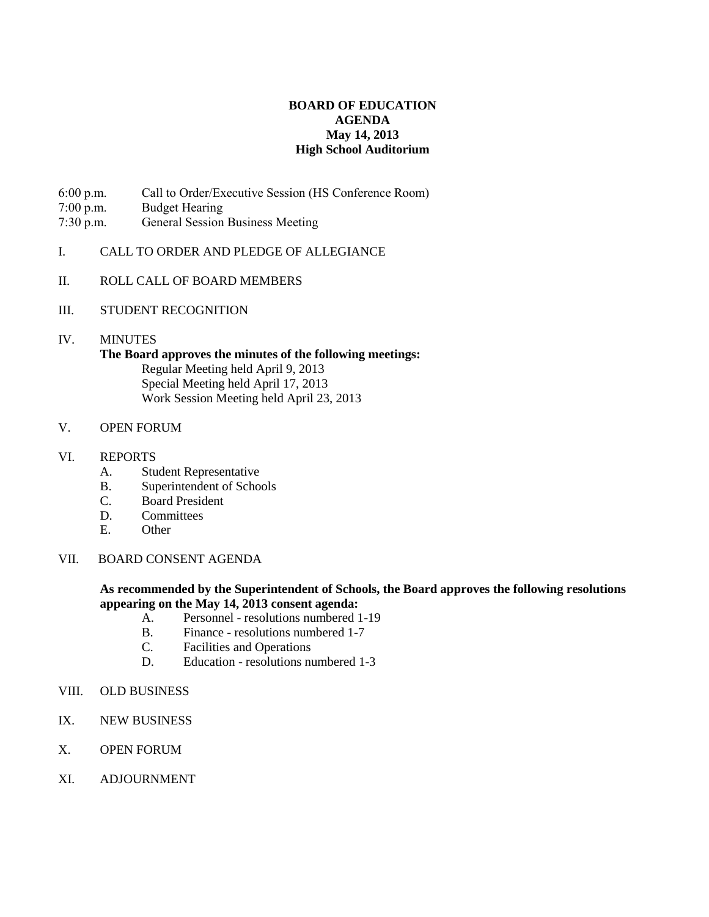# **BOARD OF EDUCATION AGENDA May 14, 2013 High School Auditorium**

- 6:00 p.m. Call to Order/Executive Session (HS Conference Room)
- 7:00 p.m. Budget Hearing
- 7:30 p.m. General Session Business Meeting
- I. CALL TO ORDER AND PLEDGE OF ALLEGIANCE
- II. ROLL CALL OF BOARD MEMBERS
- III. STUDENT RECOGNITION
- IV. MINUTES

# **The Board approves the minutes of the following meetings:** Regular Meeting held April 9, 2013

Special Meeting held April 17, 2013 Work Session Meeting held April 23, 2013

- V. OPEN FORUM
- VI. REPORTS
	- A. Student Representative
	- B. Superintendent of Schools
	- C. Board President
	- D. Committees
	- E. Other
- VII. BOARD CONSENT AGENDA

## **As recommended by the Superintendent of Schools, the Board approves the following resolutions appearing on the May 14, 2013 consent agenda:**

- A. Personnel resolutions numbered 1-19
- B. Finance resolutions numbered 1-7
- C. Facilities and Operations
- D. Education resolutions numbered 1-3
- VIII. OLD BUSINESS
- IX. NEW BUSINESS
- X. OPEN FORUM
- XI. ADJOURNMENT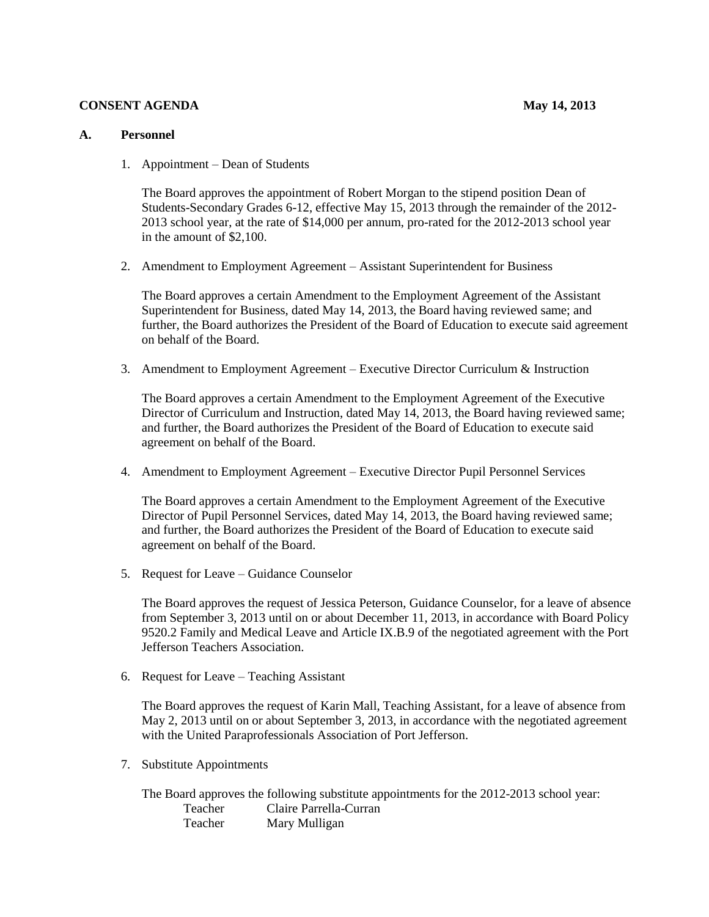### **CONSENT AGENDA** May 14, 2013

#### **A. Personnel**

1. Appointment – Dean of Students

The Board approves the appointment of Robert Morgan to the stipend position Dean of Students-Secondary Grades 6-12, effective May 15, 2013 through the remainder of the 2012- 2013 school year, at the rate of \$14,000 per annum, pro-rated for the 2012-2013 school year in the amount of \$2,100.

2. Amendment to Employment Agreement – Assistant Superintendent for Business

The Board approves a certain Amendment to the Employment Agreement of the Assistant Superintendent for Business, dated May 14, 2013, the Board having reviewed same; and further, the Board authorizes the President of the Board of Education to execute said agreement on behalf of the Board.

3. Amendment to Employment Agreement – Executive Director Curriculum & Instruction

The Board approves a certain Amendment to the Employment Agreement of the Executive Director of Curriculum and Instruction, dated May 14, 2013, the Board having reviewed same; and further, the Board authorizes the President of the Board of Education to execute said agreement on behalf of the Board.

4. Amendment to Employment Agreement – Executive Director Pupil Personnel Services

The Board approves a certain Amendment to the Employment Agreement of the Executive Director of Pupil Personnel Services, dated May 14, 2013, the Board having reviewed same; and further, the Board authorizes the President of the Board of Education to execute said agreement on behalf of the Board.

5. Request for Leave – Guidance Counselor

The Board approves the request of Jessica Peterson, Guidance Counselor, for a leave of absence from September 3, 2013 until on or about December 11, 2013, in accordance with Board Policy 9520.2 Family and Medical Leave and Article IX.B.9 of the negotiated agreement with the Port Jefferson Teachers Association.

6. Request for Leave – Teaching Assistant

The Board approves the request of Karin Mall, Teaching Assistant, for a leave of absence from May 2, 2013 until on or about September 3, 2013, in accordance with the negotiated agreement with the United Paraprofessionals Association of Port Jefferson.

7. Substitute Appointments

The Board approves the following substitute appointments for the 2012-2013 school year: Teacher Claire Parrella-Curran Teacher Mary Mulligan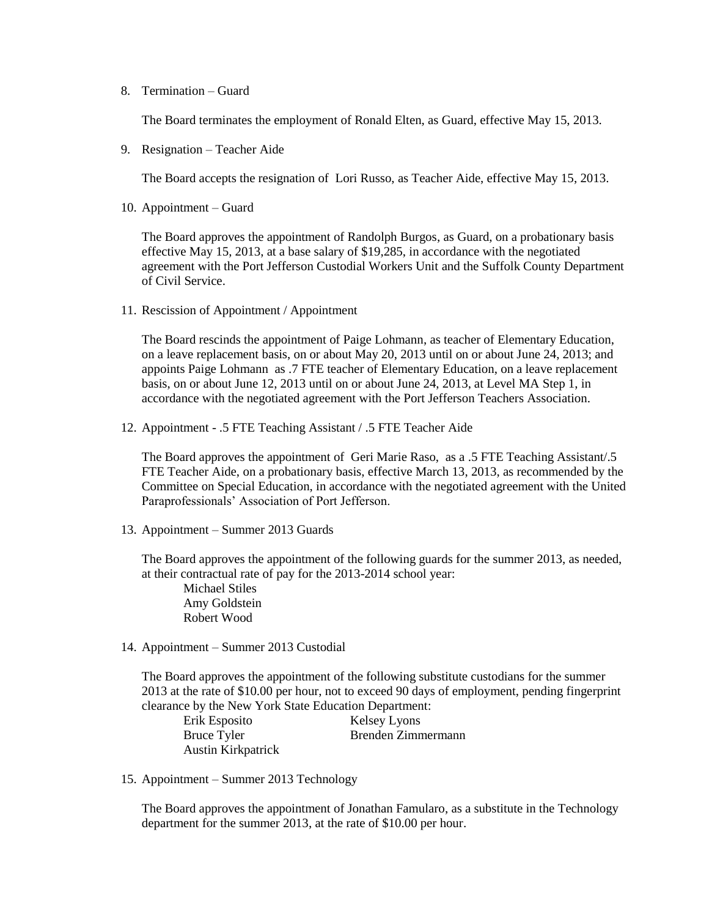8. Termination – Guard

The Board terminates the employment of Ronald Elten, as Guard, effective May 15, 2013.

9. Resignation – Teacher Aide

The Board accepts the resignation of Lori Russo, as Teacher Aide, effective May 15, 2013.

10. Appointment – Guard

The Board approves the appointment of Randolph Burgos, as Guard, on a probationary basis effective May 15, 2013, at a base salary of \$19,285, in accordance with the negotiated agreement with the Port Jefferson Custodial Workers Unit and the Suffolk County Department of Civil Service.

11. Rescission of Appointment / Appointment

The Board rescinds the appointment of Paige Lohmann, as teacher of Elementary Education, on a leave replacement basis, on or about May 20, 2013 until on or about June 24, 2013; and appoints Paige Lohmann as .7 FTE teacher of Elementary Education, on a leave replacement basis, on or about June 12, 2013 until on or about June 24, 2013, at Level MA Step 1, in accordance with the negotiated agreement with the Port Jefferson Teachers Association.

12. Appointment - .5 FTE Teaching Assistant / .5 FTE Teacher Aide

The Board approves the appointment of Geri Marie Raso, as a .5 FTE Teaching Assistant/.5 FTE Teacher Aide, on a probationary basis, effective March 13, 2013, as recommended by the Committee on Special Education, in accordance with the negotiated agreement with the United Paraprofessionals' Association of Port Jefferson.

13. Appointment – Summer 2013 Guards

The Board approves the appointment of the following guards for the summer 2013, as needed, at their contractual rate of pay for the 2013-2014 school year:

Michael Stiles Amy Goldstein Robert Wood

14. Appointment – Summer 2013 Custodial

The Board approves the appointment of the following substitute custodians for the summer 2013 at the rate of \$10.00 per hour, not to exceed 90 days of employment, pending fingerprint clearance by the New York State Education Department:

| Erik Esposito             | <b>Kelsey Lyons</b> |
|---------------------------|---------------------|
| Bruce Tyler               | Brenden Zimmermann  |
| <b>Austin Kirkpatrick</b> |                     |

15. Appointment – Summer 2013 Technology

The Board approves the appointment of Jonathan Famularo, as a substitute in the Technology department for the summer 2013, at the rate of \$10.00 per hour.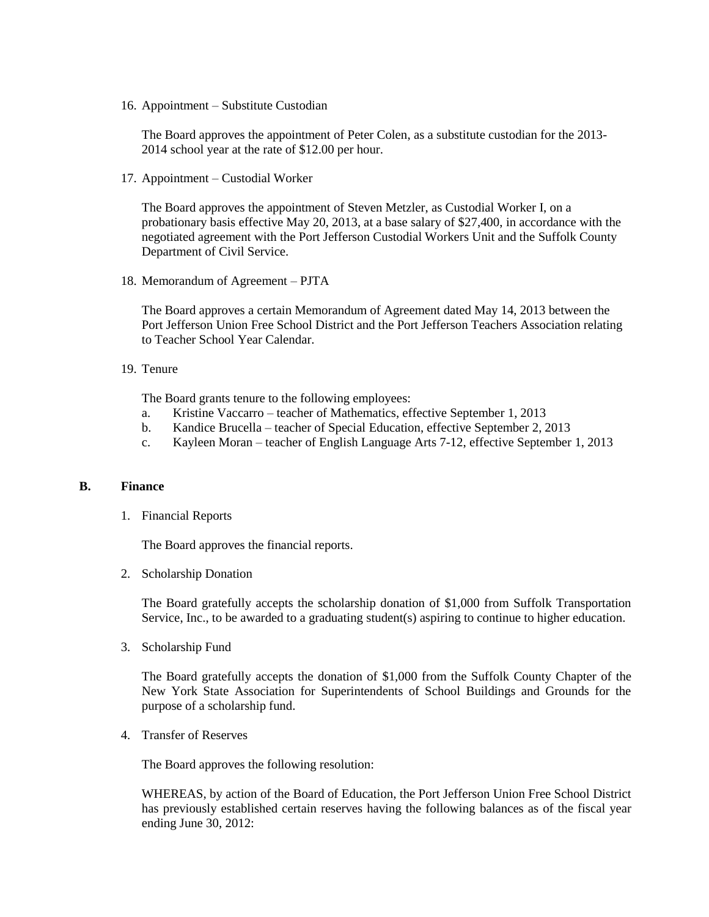16. Appointment – Substitute Custodian

The Board approves the appointment of Peter Colen, as a substitute custodian for the 2013- 2014 school year at the rate of \$12.00 per hour.

17. Appointment – Custodial Worker

The Board approves the appointment of Steven Metzler, as Custodial Worker I, on a probationary basis effective May 20, 2013, at a base salary of \$27,400, in accordance with the negotiated agreement with the Port Jefferson Custodial Workers Unit and the Suffolk County Department of Civil Service.

18. Memorandum of Agreement – PJTA

The Board approves a certain Memorandum of Agreement dated May 14, 2013 between the Port Jefferson Union Free School District and the Port Jefferson Teachers Association relating to Teacher School Year Calendar.

19. Tenure

The Board grants tenure to the following employees:

- a. Kristine Vaccarro teacher of Mathematics, effective September 1, 2013
- b. Kandice Brucella teacher of Special Education, effective September 2, 2013
- c. Kayleen Moran teacher of English Language Arts 7-12, effective September 1, 2013

#### **B. Finance**

1. Financial Reports

The Board approves the financial reports.

2. Scholarship Donation

The Board gratefully accepts the scholarship donation of \$1,000 from Suffolk Transportation Service, Inc., to be awarded to a graduating student(s) aspiring to continue to higher education.

3. Scholarship Fund

The Board gratefully accepts the donation of \$1,000 from the Suffolk County Chapter of the New York State Association for Superintendents of School Buildings and Grounds for the purpose of a scholarship fund.

4. Transfer of Reserves

The Board approves the following resolution:

WHEREAS, by action of the Board of Education, the Port Jefferson Union Free School District has previously established certain reserves having the following balances as of the fiscal year ending June 30, 2012: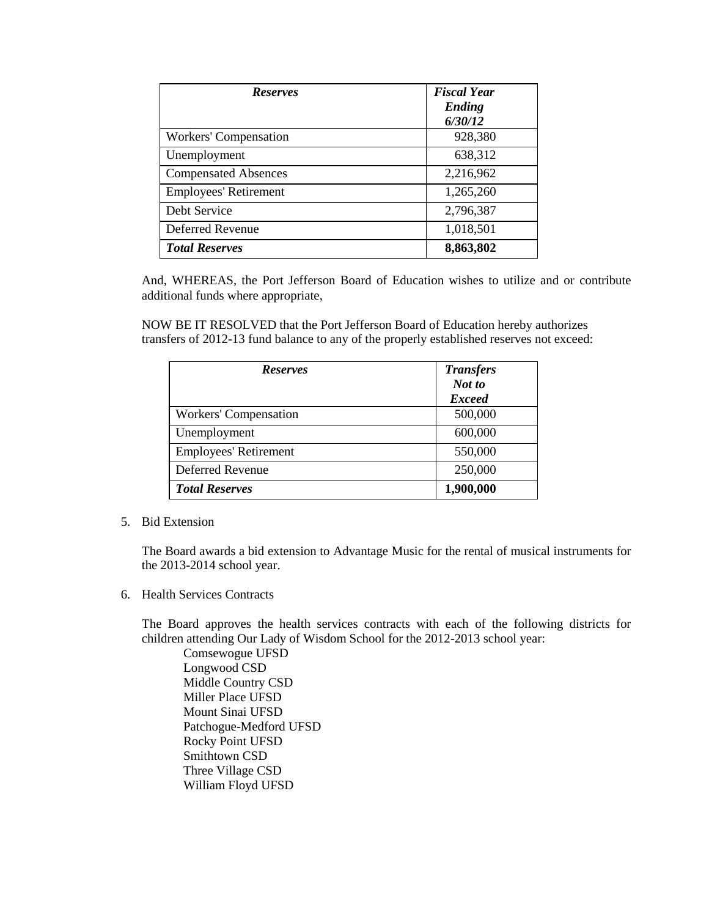| <b>Reserves</b>              | <b>Fiscal Year</b><br>Ending<br>6/30/12 |
|------------------------------|-----------------------------------------|
| <b>Workers' Compensation</b> | 928,380                                 |
| Unemployment                 | 638,312                                 |
| <b>Compensated Absences</b>  | 2,216,962                               |
| <b>Employees' Retirement</b> | 1,265,260                               |
| Debt Service                 | 2,796,387                               |
| Deferred Revenue             | 1,018,501                               |
| <b>Total Reserves</b>        | 8,863,802                               |

And, WHEREAS, the Port Jefferson Board of Education wishes to utilize and or contribute additional funds where appropriate,

NOW BE IT RESOLVED that the Port Jefferson Board of Education hereby authorizes transfers of 2012-13 fund balance to any of the properly established reserves not exceed:

| <b>Reserves</b>              | <b>Transfers</b><br>Not to |
|------------------------------|----------------------------|
|                              | <b>Exceed</b>              |
| Workers' Compensation        | 500,000                    |
| Unemployment                 | 600,000                    |
| <b>Employees' Retirement</b> | 550,000                    |
| Deferred Revenue             | 250,000                    |
| <b>Total Reserves</b>        | 1,900,000                  |

# 5. Bid Extension

The Board awards a bid extension to Advantage Music for the rental of musical instruments for the 2013-2014 school year.

6. Health Services Contracts

The Board approves the health services contracts with each of the following districts for children attending Our Lady of Wisdom School for the 2012-2013 school year:

Comsewogue UFSD Longwood CSD Middle Country CSD Miller Place UFSD Mount Sinai UFSD Patchogue-Medford UFSD Rocky Point UFSD Smithtown CSD Three Village CSD William Floyd UFSD